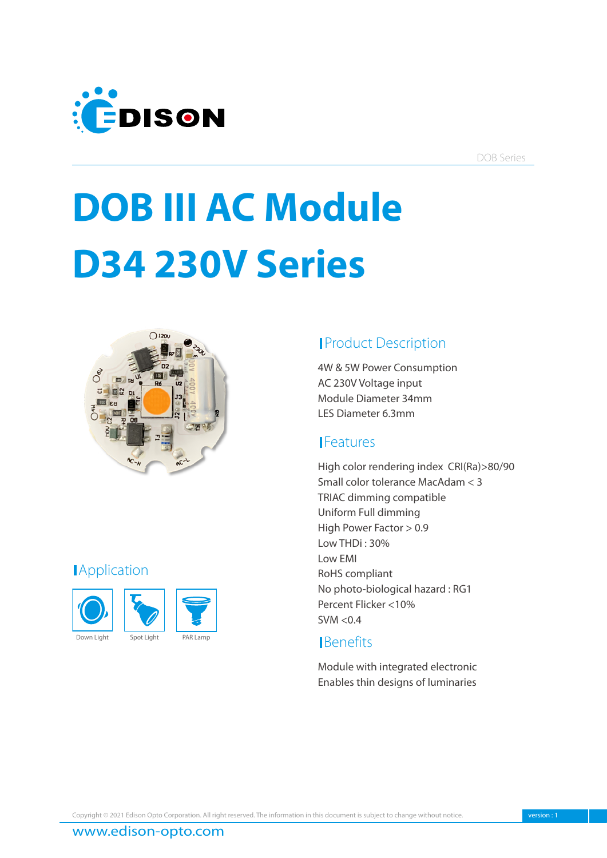

DOB Series

# **DOB III AC Module D34 230V Series**



# **Application**



# **Product Description**

4W & 5W Power Consumption AC 230V Voltage input Module Diameter 34mm LES Diameter 6.3mm

# **IFeatures**

High color rendering index CRI(Ra)>80/90 Small color tolerance MacAdam < 3 TRIAC dimming compatible Uniform Full dimming High Power Factor > 0.9 Low THDi : 30% Low EMI RoHS compliant No photo-biological hazard : RG1 Percent Flicker <10%  $SVM < 0.4$ 

# **I**Benefits

Module with integrated electronic Enables thin designs of luminaries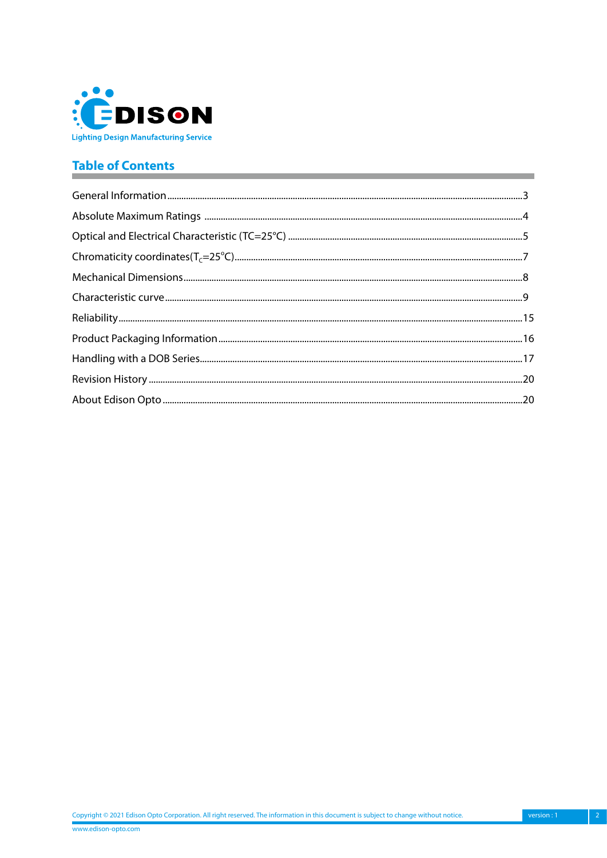

# **Table of Contents**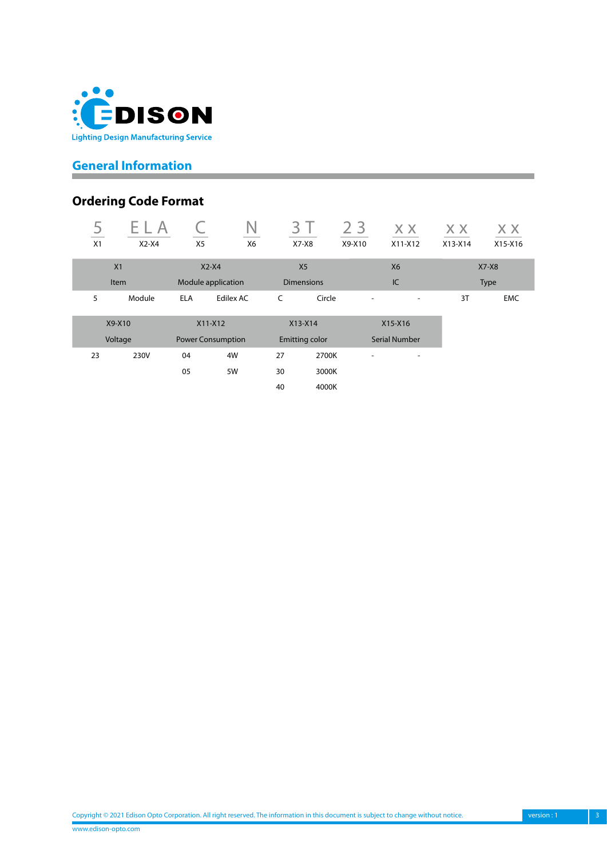<span id="page-2-0"></span>

# **General Information**

# **Ordering Code Format**

| $\overline{c}$<br>X1 | $X2-X4$     | X <sub>5</sub>           | X6        | ⊰<br>$X7-X8$      |        | 2 <sub>3</sub><br>X9-X10 | X X<br>$X11-X12$         | X X<br>$X13-X14$ | X X<br>X15-X16 |
|----------------------|-------------|--------------------------|-----------|-------------------|--------|--------------------------|--------------------------|------------------|----------------|
|                      | X1          | $X2-X4$                  |           | X <sub>5</sub>    |        |                          | <b>X6</b>                |                  | $X7-X8$        |
|                      | <b>Item</b> | Module application       |           | <b>Dimensions</b> |        |                          | IC                       |                  | <b>Type</b>    |
| 5                    | Module      | <b>ELA</b>               | Edilex AC | C                 | Circle |                          |                          | 3T               | <b>EMC</b>     |
|                      | X9-X10      | $X11-X12$                |           | $X13-X14$         |        |                          | X15-X16                  |                  |                |
|                      | Voltage     | <b>Power Consumption</b> |           | Emitting color    |        |                          | <b>Serial Number</b>     |                  |                |
| 23                   | 230V        | 04                       | 4W        | 27                | 2700K  | ٠                        | $\overline{\phantom{0}}$ |                  |                |
|                      |             | 05                       | 5W        | 30                | 3000K  |                          |                          |                  |                |
|                      |             |                          |           | 40                | 4000K  |                          |                          |                  |                |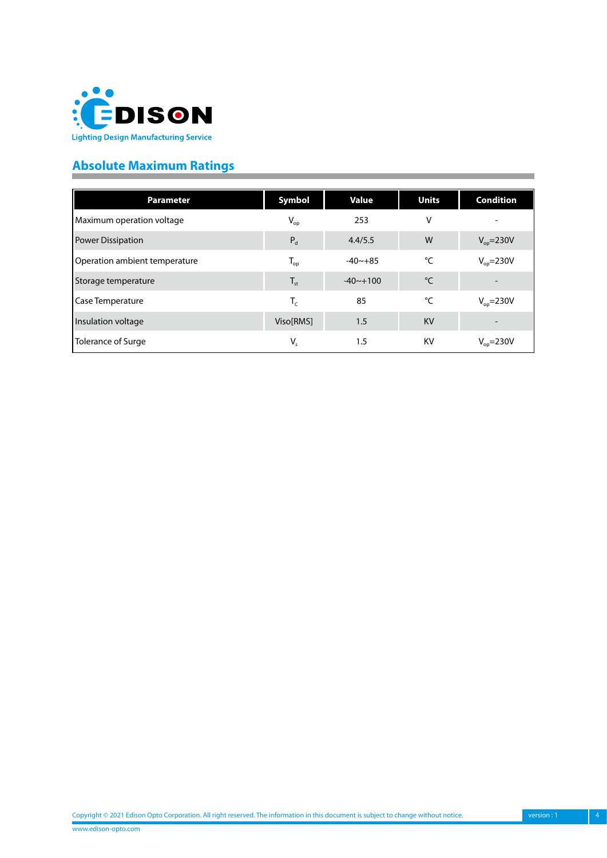<span id="page-3-0"></span>

# **Absolute Maximum Ratings**

| <b>Parameter</b>              | Symbol                     | <b>Value</b> | <b>Units</b> | <b>Condition</b>      |
|-------------------------------|----------------------------|--------------|--------------|-----------------------|
| Maximum operation voltage     | $\mathsf{V}_{\mathsf{op}}$ | 253          | ٧            |                       |
| <b>Power Dissipation</b>      | $P_d$                      | 4.4/5.5      | W            | $V_{op} = 230V$       |
| Operation ambient temperature | $T_{op}$                   | $-40 - +85$  | °C           | $V_{op} = 230V$       |
| Storage temperature           | $T_{\rm st}$               | $-40 - +100$ | °C           |                       |
| Case Temperature              | $T_c$                      | 85           | °C           | $V_{\text{op}}$ =230V |
| Insulation voltage            | Viso[RMS]                  | 1.5          | <b>KV</b>    |                       |
| Tolerance of Surge            | $V_{s}$                    | 1.5          | KV           | $V_{op} = 230V$       |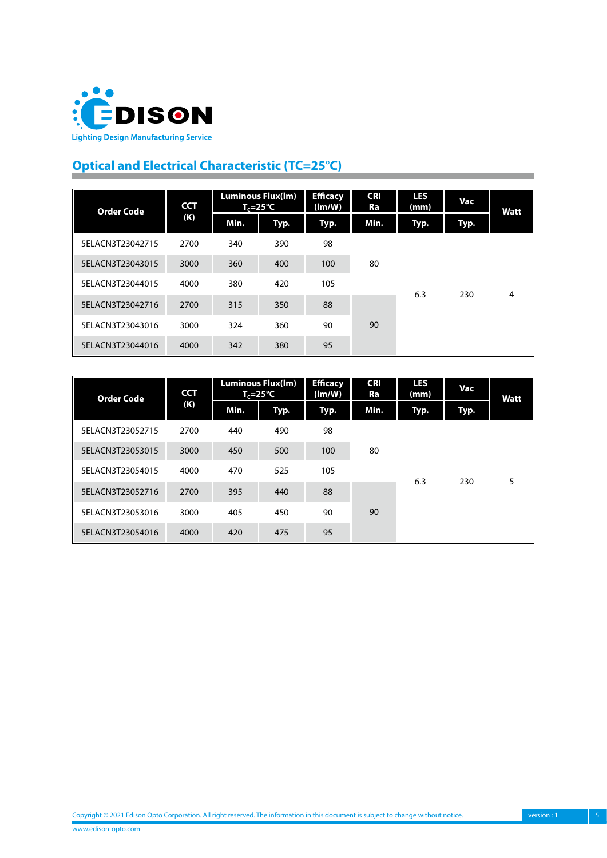<span id="page-4-0"></span>

# **Optical and Electrical Characteristic (TC=25**°**C)**

| <b>Order Code</b> | <b>CCT</b> |      | <b>Luminous Flux(Im)</b><br>T,=25°C | <b>Efficacy</b><br>(lm/W) | <b>CRI</b><br>Ra | <b>LES</b><br>(mm) | Vac  | Watt |   |  |
|-------------------|------------|------|-------------------------------------|---------------------------|------------------|--------------------|------|------|---|--|
|                   | (K)        | Min. | Typ.                                | Typ.                      | Min.             | Typ.               | Typ. |      |   |  |
| 5ELACN3T23042715  | 2700       | 340  | 390                                 | 98                        | 80<br>90         |                    |      |      |   |  |
| 5ELACN3T23043015  | 3000       | 360  | 400                                 | 100                       |                  |                    |      |      |   |  |
| 5ELACN3T23044015  | 4000       | 380  | 420                                 | 105                       |                  |                    | 6.3  | 230  | 4 |  |
| 5ELACN3T23042716  | 2700       | 315  | 350                                 | 88                        |                  |                    |      |      |   |  |
| 5ELACN3T23043016  | 3000       | 324  | 360                                 | 90                        |                  |                    |      |      |   |  |
| 5ELACN3T23044016  | 4000       | 342  | 380                                 | 95                        |                  |                    |      |      |   |  |

| <b>Order Code</b> | <b>CCT</b> |      | <b>Luminous Flux(Im)</b><br>$T_c = 25^{\circ}C$ | <b>Efficacy</b><br>(lm/W) | <b>CRI</b><br>Ra | <b>LES</b><br>(mm) | Vac  | Watt |   |  |
|-------------------|------------|------|-------------------------------------------------|---------------------------|------------------|--------------------|------|------|---|--|
|                   | (K)        | Min. | Typ.                                            | Typ.                      | Min.             | Typ.               | Typ. |      |   |  |
| 5ELACN3T23052715  | 2700       | 440  | 490                                             | 98                        |                  |                    |      |      |   |  |
| 5ELACN3T23053015  | 3000       | 450  | 500                                             | 100                       | 80<br>90         |                    |      |      |   |  |
| 5ELACN3T23054015  | 4000       | 470  | 525                                             | 105                       |                  |                    | 6.3  | 230  | 5 |  |
| 5ELACN3T23052716  | 2700       | 395  | 440                                             | 88                        |                  |                    |      |      |   |  |
| 5ELACN3T23053016  | 3000       | 405  | 450                                             | 90                        |                  |                    |      |      |   |  |
| 5ELACN3T23054016  | 4000       | 420  | 475                                             | 95                        |                  |                    |      |      |   |  |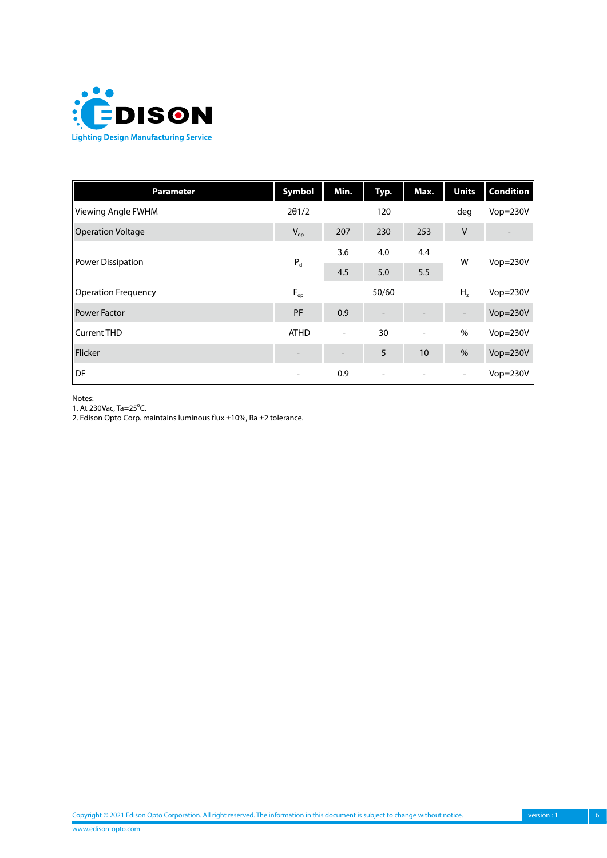

| <b>Parameter</b>           | Symbol                     | Min.                     | Typ.  | Max.                     | <b>Units</b>             | <b>Condition</b> |
|----------------------------|----------------------------|--------------------------|-------|--------------------------|--------------------------|------------------|
| Viewing Angle FWHM         | $2\theta$ 1/2              |                          | 120   |                          | deg                      | Vop=230V         |
| <b>Operation Voltage</b>   | $\mathsf{V}_{\mathsf{op}}$ | 207                      | 230   | 253                      | $\vee$                   |                  |
| Power Dissipation          |                            | 3.6                      | 4.0   | 4.4                      | W                        | $Vop=230V$       |
|                            | $P_d$                      | 4.5                      | 5.0   | 5.5                      |                          |                  |
| <b>Operation Frequency</b> | $F_{op}$                   |                          | 50/60 |                          | H <sub>z</sub>           | $Vop=230V$       |
| <b>Power Factor</b>        | PF                         | 0.9                      |       |                          | $\overline{\phantom{0}}$ | $Vop=230V$       |
| <b>Current THD</b>         | <b>ATHD</b>                | $\overline{\phantom{a}}$ | 30    | $\overline{\phantom{a}}$ | $\%$                     | $Vop=230V$       |
| Flicker                    |                            |                          | 5     | 10                       | $\frac{0}{0}$            | $Vop=230V$       |
| DF                         | $\overline{\phantom{a}}$   | 0.9                      |       |                          | $\overline{\phantom{a}}$ | $Vop=230V$       |

Notes:

1. At 230Vac, Ta=25°C.

2. Edison Opto Corp. maintains luminous flux ±10%, Ra ±2 tolerance.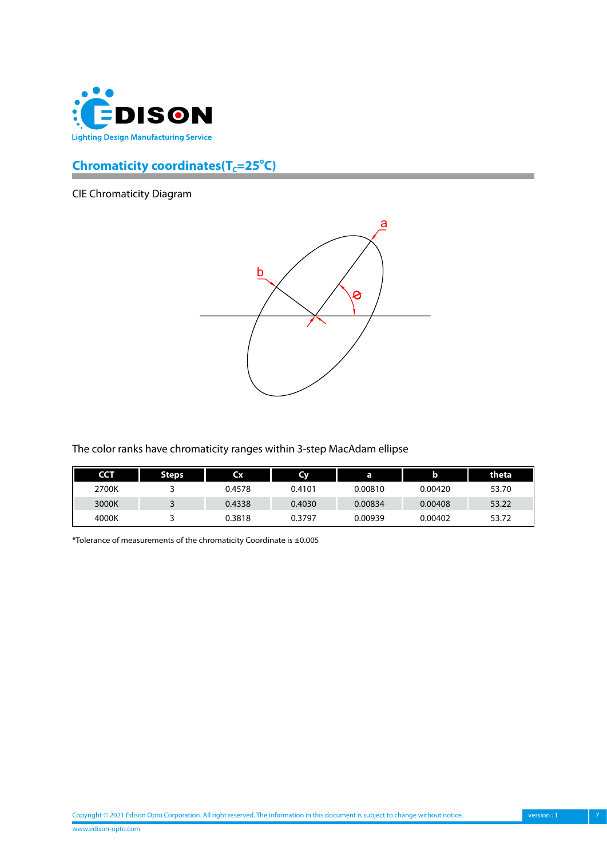<span id="page-6-0"></span>

# **Chromaticity coordinates(T<sub>C</sub>=25°C)**

CIE Chromaticity Diagram



The color ranks have chromaticity ranges within 3-step MacAdam ellipse

| <b>CCT</b> | Steps. | <b>Cx</b> | Cv     | a       |         | theta |
|------------|--------|-----------|--------|---------|---------|-------|
| 2700K      |        | 0.4578    | 0.4101 | 0.00810 | 0.00420 | 53.70 |
| 3000K      |        | 0.4338    | 0.4030 | 0.00834 | 0.00408 | 53.22 |
| 4000K      |        | 0.3818    | 0.3797 | 0.00939 | 0.00402 | 53.72 |

\*Tolerance of measurements of the chromaticity Coordinate is ±0.005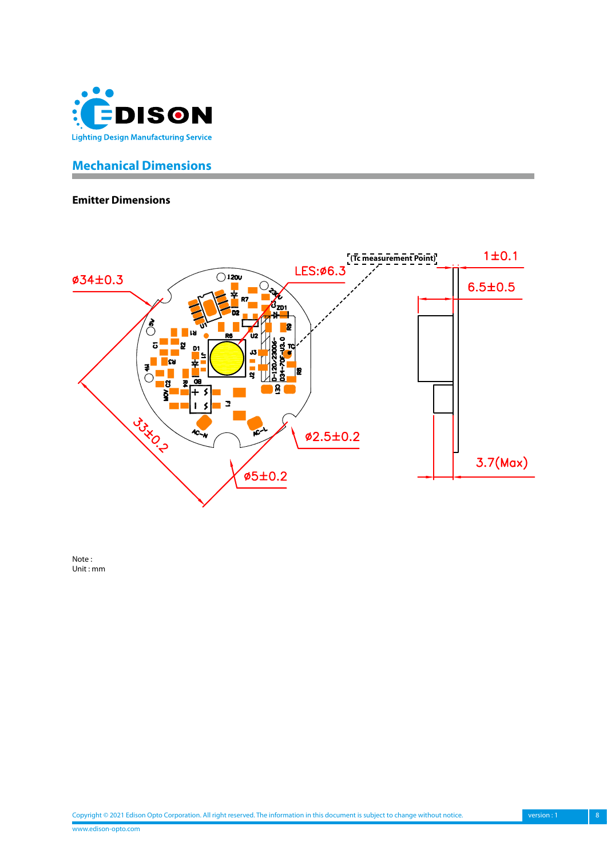<span id="page-7-0"></span>

# **Mechanical Dimensions**

#### **Emitter Dimensions**



Note : Unit : mm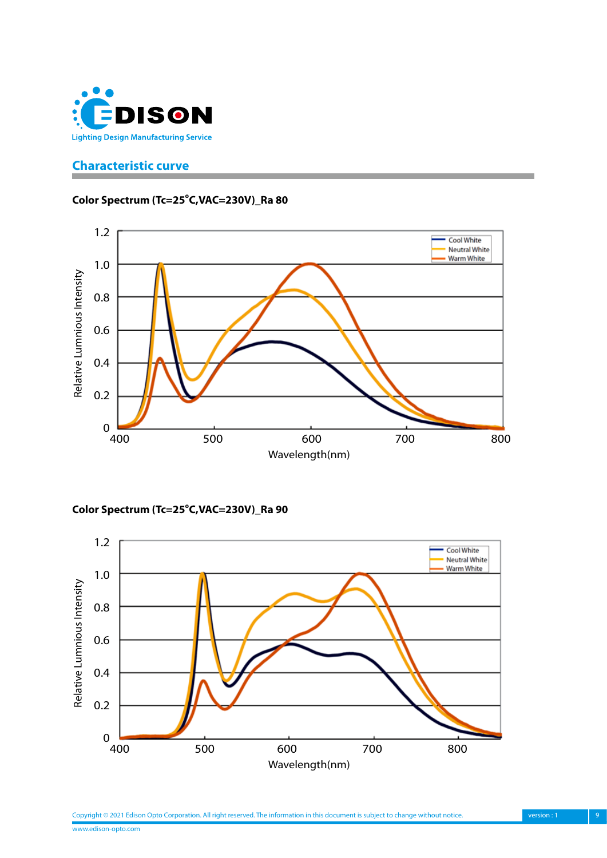<span id="page-8-0"></span>

# **Characteristic curve**

#### Color Spectrum (Tc=25°C,VAC=230V)\_Ra 80



Color Spectrum (Tc=25°C,VAC=230V)\_Ra 90

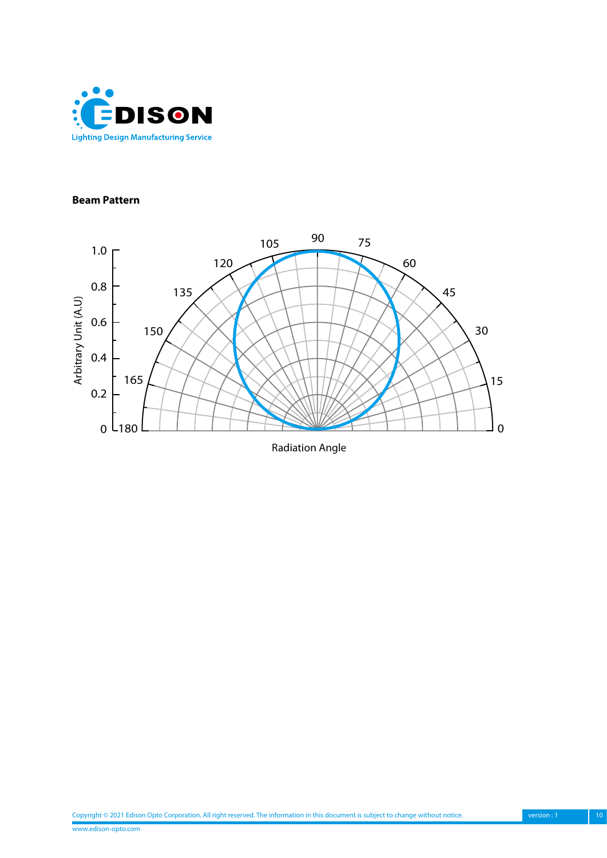

#### **Beam Pattern**

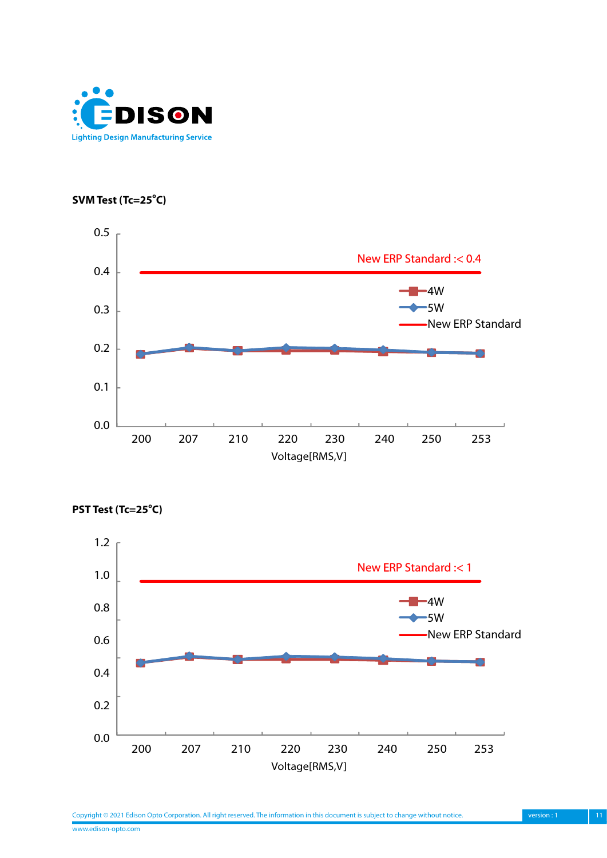

SVM Test (Tc=25<sup>°</sup>C)





PST Test (Tc=25<sup>°</sup>C)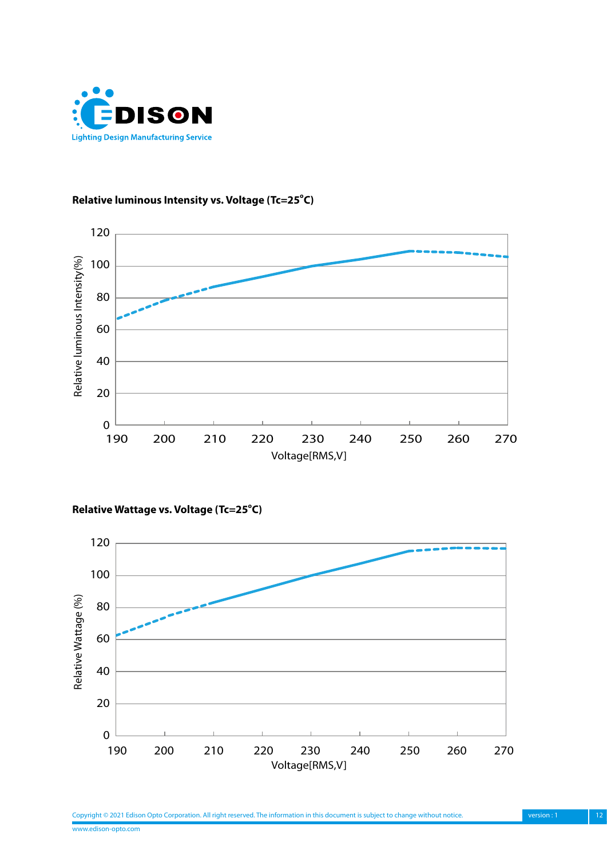

#### Relative luminous Intensity vs. Voltage (Tc=25°C)



#### Relative Wattage vs. Voltage (Tc=25°C)

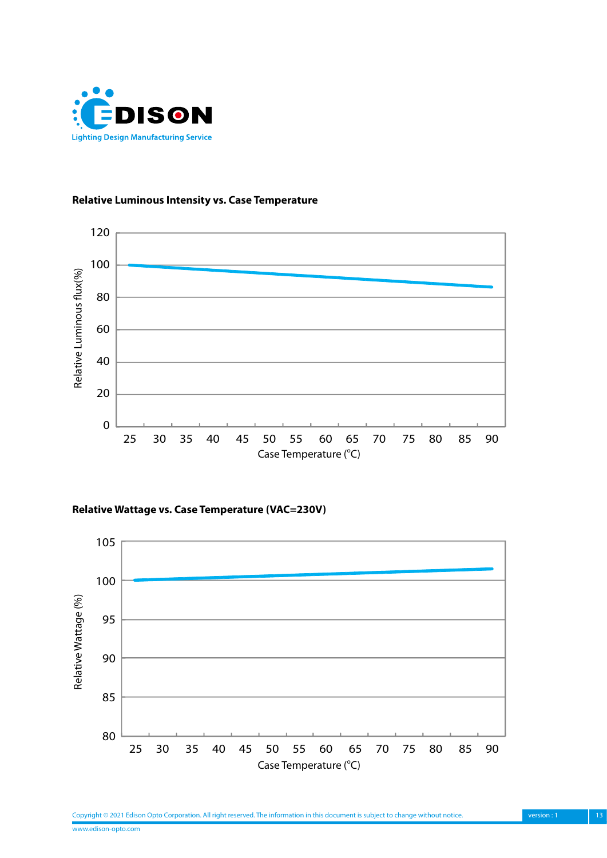

#### **Relative Luminous Intensity vs. Case Temperature**



**Relative Wattage vs. Case Temperature (VAC=230V)**

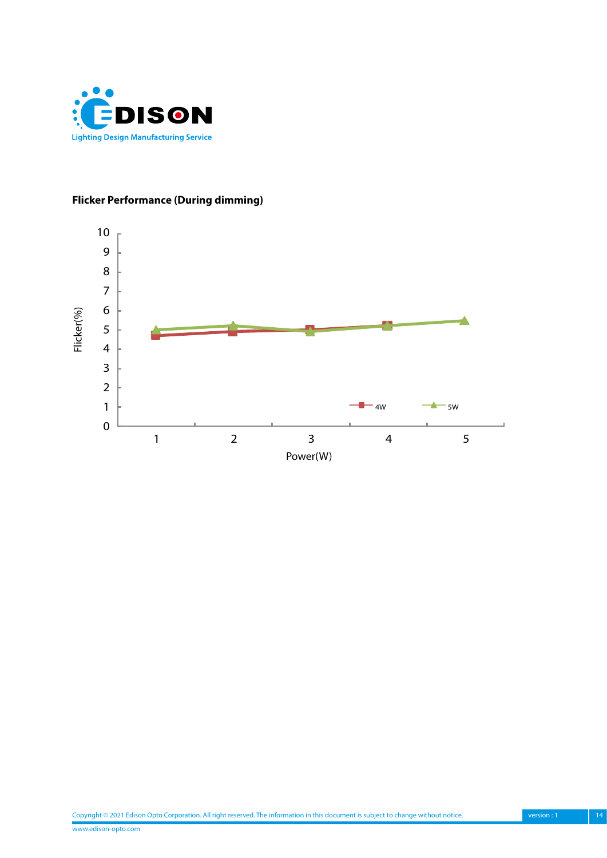

# **Flicker Performance (During dimming)**

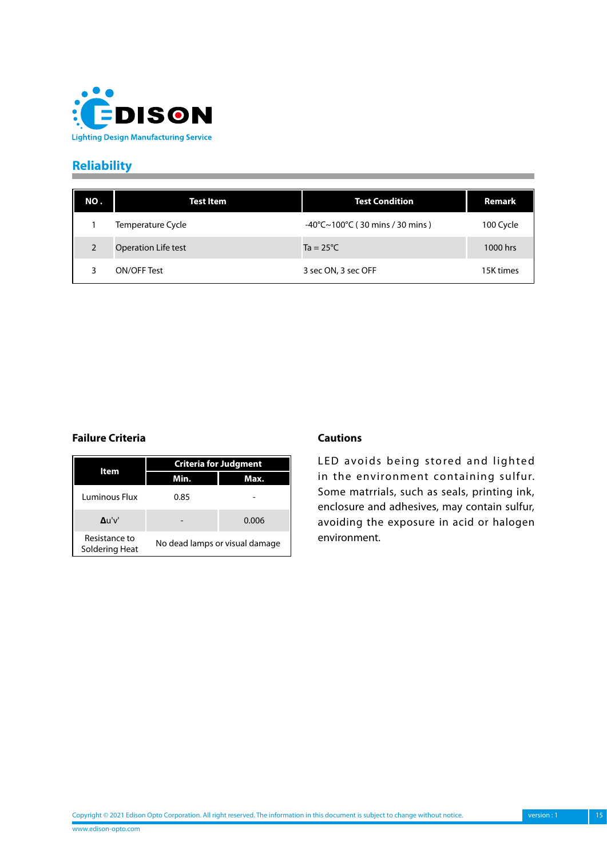<span id="page-14-0"></span>

# **Reliability**

| NO.            | <b>Test Item</b>           | <b>Test Condition</b>                                        | Remark    |
|----------------|----------------------------|--------------------------------------------------------------|-----------|
|                | Temperature Cycle          | $-40^{\circ}$ C $\sim$ 100 $^{\circ}$ C (30 mins / 30 mins ) | 100 Cycle |
| $\overline{2}$ | <b>Operation Life test</b> | $Ta = 25^{\circ}C$                                           | 1000 hrs  |
|                | ON/OFF Test                | 3 sec ON, 3 sec OFF                                          | 15K times |

#### **Failure Criteria Cautions**

|                                 |                                | <b>Criteria for Judgment</b> |  |  |
|---------------------------------|--------------------------------|------------------------------|--|--|
| ltem                            | Min.                           | Max.                         |  |  |
| Luminous Flux                   | 0.85                           |                              |  |  |
| $\Delta$ u'v'                   |                                | 0.006                        |  |  |
| Resistance to<br>Soldering Heat | No dead lamps or visual damage |                              |  |  |

LED avoids being stored and lighted in the environment containing sulfur. Some matrrials, such as seals, printing ink, enclosure and adhesives, may contain sulfur, avoiding the exposure in acid or halogen environment.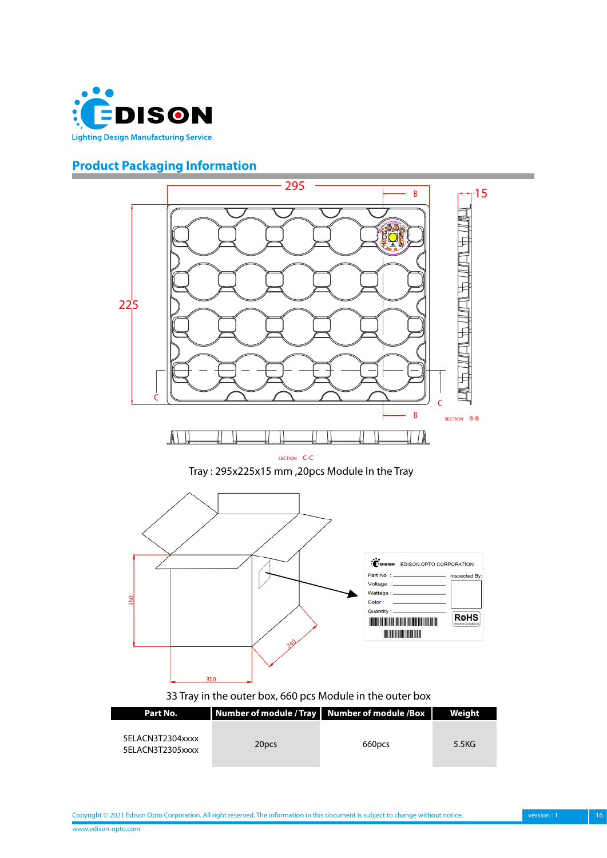<span id="page-15-0"></span>

# **Product Packaging Information**



www.edison-opto.com Copyright © 2021 Edison Opto Corporation. All right reserved. The information in this document is subject to change without notice. version : 1 16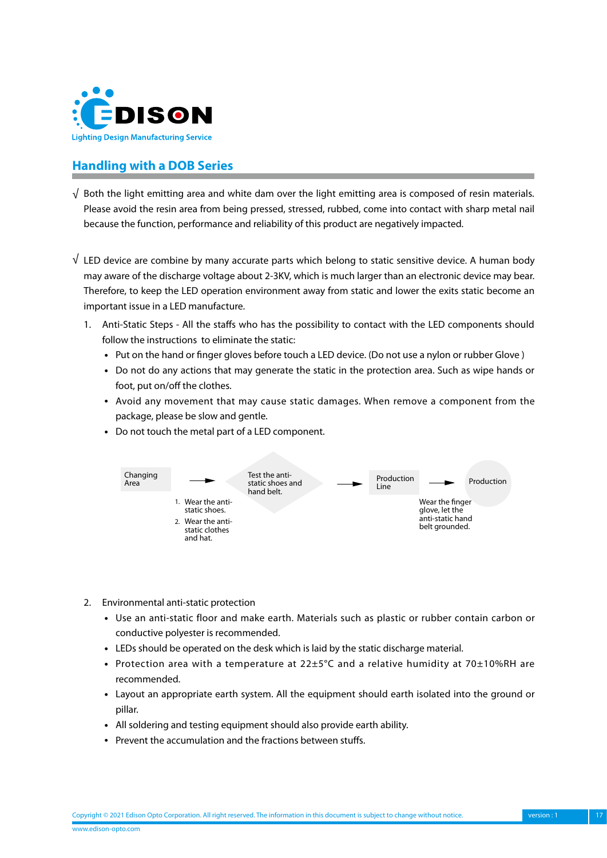<span id="page-16-0"></span>

### **Handling with a DOB Series**

- $\sqrt{\,}$  Both the light emitting area and white dam over the light emitting area is composed of resin materials. Please avoid the resin area from being pressed, stressed, rubbed, come into contact with sharp metal nail because the function, performance and reliability of this product are negatively impacted.
- $\sqrt{ }$  LED device are combine by many accurate parts which belong to static sensitive device. A human body may aware of the discharge voltage about 2-3KV, which is much larger than an electronic device may bear. Therefore, to keep the LED operation environment away from static and lower the exits static become an important issue in a LED manufacture.
	- 1. Anti-Static Steps All the staffs who has the possibility to contact with the LED components should follow the instructions to eliminate the static:
		- Put on the hand or finger gloves before touch a LED device. (Do not use a nylon or rubber Glove)
		- • Do not do any actions that may generate the static in the protection area. Such as wipe hands or foot, put on/off the clothes.
		- • Avoid any movement that may cause static damages. When remove a component from the package, please be slow and gentle.
		- Do not touch the metal part of a LED component.



- 2. Environmental anti-static protection
	- • Use an anti-static floor and make earth. Materials such as plastic or rubber contain carbon or conductive polyester is recommended.
	- LEDs should be operated on the desk which is laid by the static discharge material.
	- Protection area with a temperature at  $22\pm5^{\circ}$ C and a relative humidity at 70 $\pm10\%$ RH are recommended.
	- • Layout an appropriate earth system. All the equipment should earth isolated into the ground or pillar.
	- All soldering and testing equipment should also provide earth ability.
	- Prevent the accumulation and the fractions between stuffs.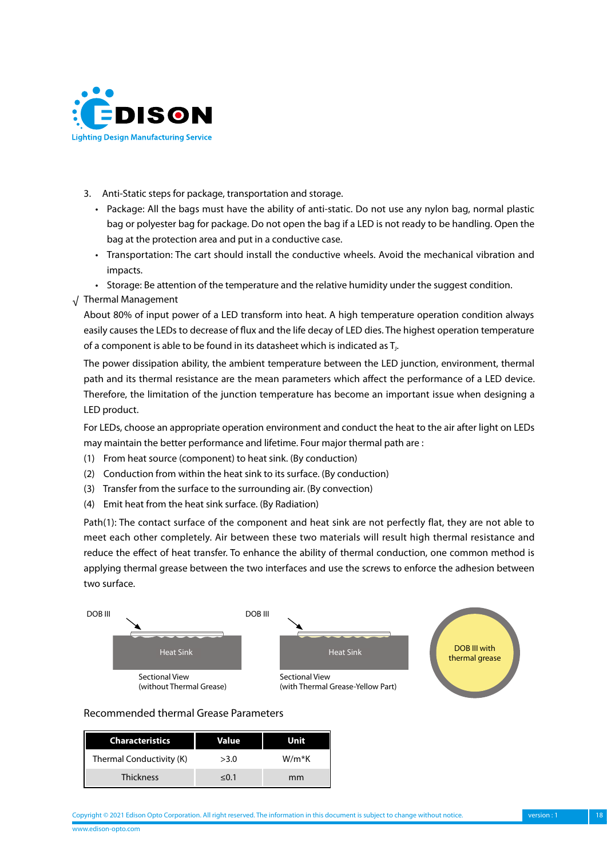

- 3. Anti-Static steps for package, transportation and storage.
	- • Package: All the bags must have the ability of anti-static. Do not use any nylon bag, normal plastic bag or polyester bag for package. Do not open the bag if a LED is not ready to be handling. Open the bag at the protection area and put in a conductive case.
	- • Transportation: The cart should install the conductive wheels. Avoid the mechanical vibration and impacts.
	- • Storage: Be attention of the temperature and the relative humidity under the suggest condition.
- √ Thermal Management

About 80% of input power of a LED transform into heat. A high temperature operation condition always easily causes the LEDs to decrease of flux and the life decay of LED dies. The highest operation temperature of a component is able to be found in its datasheet which is indicated as T<sub>1</sub>.

The power dissipation ability, the ambient temperature between the LED junction, environment, thermal path and its thermal resistance are the mean parameters which affect the performance of a LED device. Therefore, the limitation of the junction temperature has become an important issue when designing a LED product.

For LEDs, choose an appropriate operation environment and conduct the heat to the air after light on LEDs may maintain the better performance and lifetime. Four major thermal path are :

- (1) From heat source (component) to heat sink. (By conduction)
- (2) Conduction from within the heat sink to its surface. (By conduction)
- (3) Transfer from the surface to the surrounding air. (By convection)
- (4) Emit heat from the heat sink surface. (By Radiation)

Path(1): The contact surface of the component and heat sink are not perfectly flat, they are not able to meet each other completely. Air between these two materials will result high thermal resistance and reduce the effect of heat transfer. To enhance the ability of thermal conduction, one common method is applying thermal grease between the two interfaces and use the screws to enforce the adhesion between two surface.



#### Recommended thermal Grease Parameters

| <b>Characteristics</b>   | Value | Unit  |
|--------------------------|-------|-------|
| Thermal Conductivity (K) | >3.0  | W/m*K |
| <b>Thickness</b>         | < 0.1 | mm    |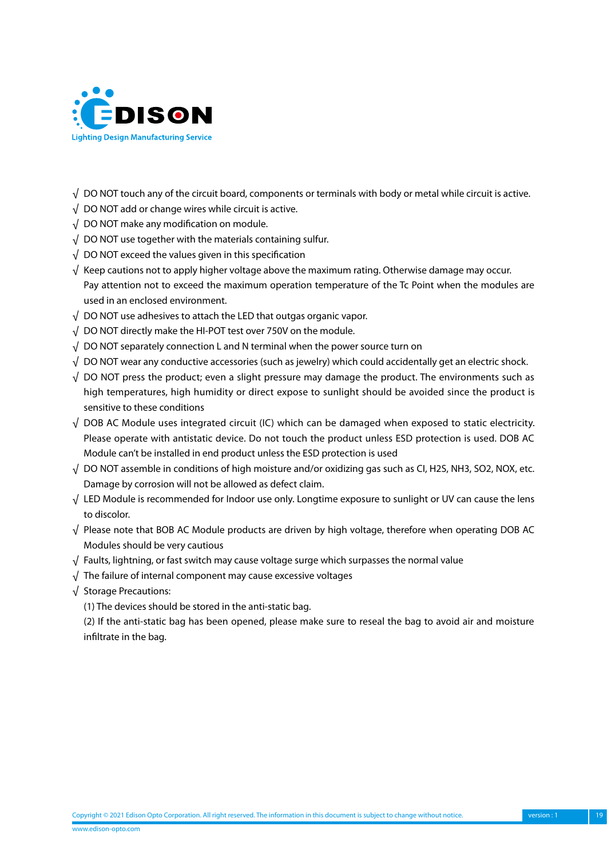

- $\sqrt{\,}$  DO NOT touch any of the circuit board, components or terminals with body or metal while circuit is active.
- $\sqrt{ }$  DO NOT add or change wires while circuit is active.
- $\sqrt{ }$  DO NOT make any modification on module.
- $\sqrt{\phantom{a}}$  DO NOT use together with the materials containing sulfur.
- $\sqrt{\phantom{a}}$  DO NOT exceed the values given in this specification
- $\sqrt{\phantom{a}}$  Keep cautions not to apply higher voltage above the maximum rating. Otherwise damage may occur. Pay attention not to exceed the maximum operation temperature of the Tc Point when the modules are used in an enclosed environment.
- $\sqrt{\phantom{a}}$  DO NOT use adhesives to attach the LED that outgas organic vapor.
- $\sqrt{\phantom{a}}$  DO NOT directly make the HI-POT test over 750V on the module.
- $\sqrt{\phantom{a}}$  DO NOT separately connection L and N terminal when the power source turn on
- $\sqrt{\,}$  DO NOT wear any conductive accessories (such as jewelry) which could accidentally get an electric shock.
- $\sqrt{}$  DO NOT press the product; even a slight pressure may damage the product. The environments such as high temperatures, high humidity or direct expose to sunlight should be avoided since the product is sensitive to these conditions
- $\sqrt{}$  DOB AC Module uses integrated circuit (IC) which can be damaged when exposed to static electricity. Please operate with antistatic device. Do not touch the product unless ESD protection is used. DOB AC Module can't be installed in end product unless the ESD protection is used
- $\sqrt{ }$  DO NOT assemble in conditions of high moisture and/or oxidizing gas such as CI, H2S, NH3, SO2, NOX, etc. Damage by corrosion will not be allowed as defect claim.
- $\sqrt{\phantom{a}}$  LED Module is recommended for Indoor use only. Longtime exposure to sunlight or UV can cause the lens to discolor.
- $\sqrt{}$  Please note that BOB AC Module products are driven by high voltage, therefore when operating DOB AC Modules should be very cautious
- Faults, lightning, or fast switch may cause voltage surge which surpasses the normal value √
- $\sqrt{\phantom{a}}$  The failure of internal component may cause excessive voltages
- Storage Precautions: √
	- (1) The devices should be stored in the anti-static bag.

(2) If the anti-static bag has been opened, please make sure to reseal the bag to avoid air and moisture infiltrate in the bag.